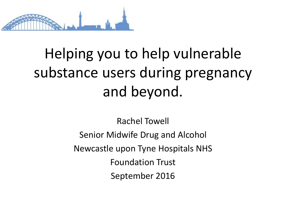

### Helping you to help vulnerable substance users during pregnancy and beyond.

Rachel Towell Senior Midwife Drug and Alcohol Newcastle upon Tyne Hospitals NHS Foundation Trust September 2016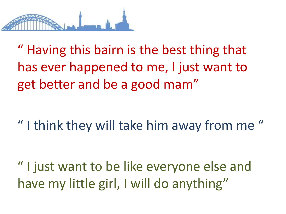

" Having this bairn is the best thing that has ever happened to me, I just want to get better and be a good mam"

" I think they will take him away from me "

" I just want to be like everyone else and have my little girl, I will do anything"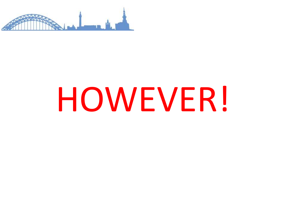

## HOWEVER!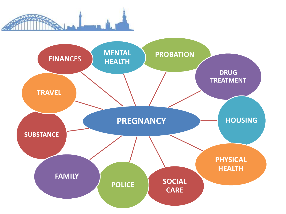

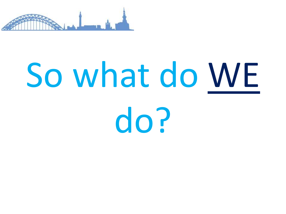

# So what do WE

do?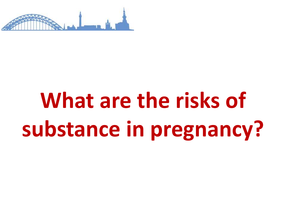

### **What are the risks of substance in pregnancy?**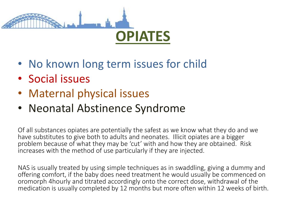

- No known long term issues for child
- Social issues
- Maternal physical issues
- Neonatal Abstinence Syndrome

Of all substances opiates are potentially the safest as we know what they do and we have substitutes to give both to adults and neonates. Illicit opiates are a bigger problem because of what they may be 'cut' with and how they are obtained. Risk increases with the method of use particularly if they are injected.

NAS is usually treated by using simple techniques as in swaddling, giving a dummy and offering comfort, if the baby does need treatment he would usually be commenced on oromorph 4hourly and titrated accordingly onto the correct dose, withdrawal of the medication is usually completed by 12 months but more often within 12 weeks of birth.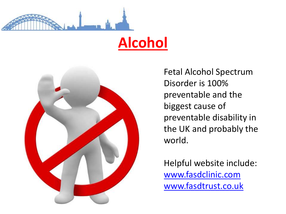

#### **Alcohol**



Fetal Alcohol Spectrum Disorder is 100% preventable and the biggest cause of preventable disability in the UK and probably the world.

Helpful website include: [www.fasdclinic.com](http://www.fasdclinic.com/) [www.fasdtrust.co.uk](http://www.fasdclinic.com/)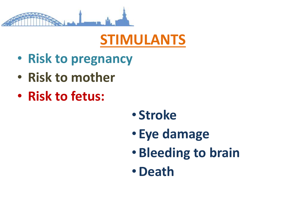

### **STIMULANTS**

- **Risk to pregnancy**
- **Risk to mother**
- **Risk to fetus:**

- **Stroke**
- **Eye damage**
- **Bleeding to brain**
- •**Death**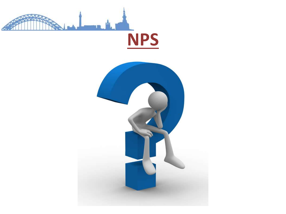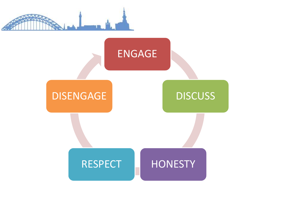